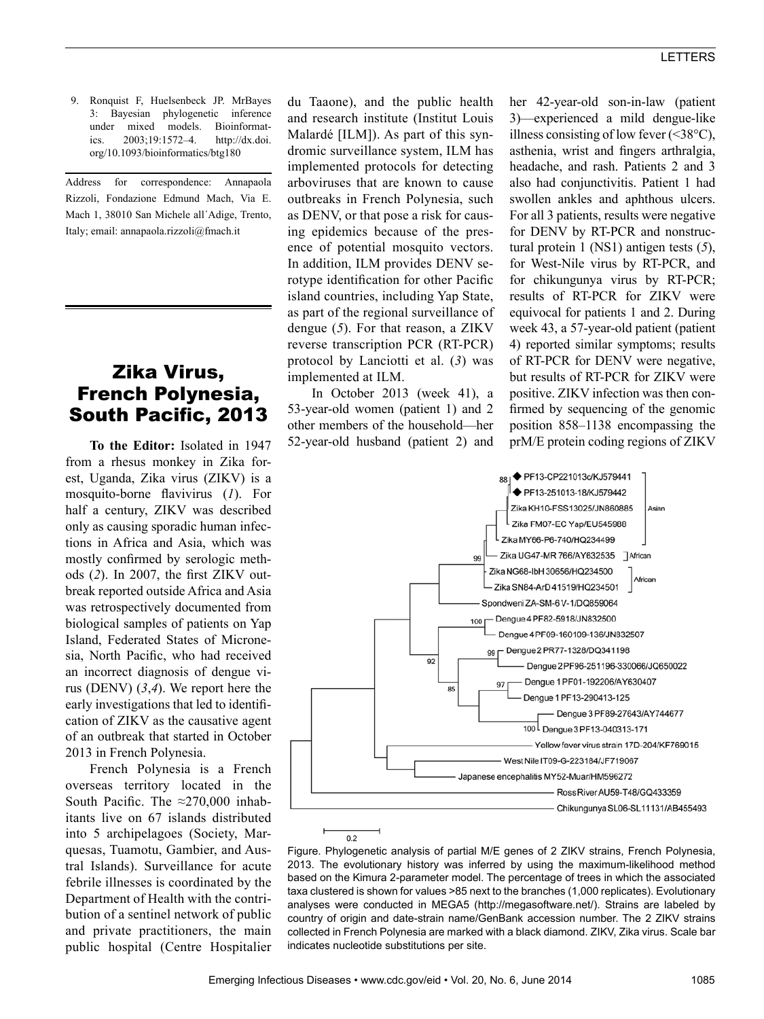9. Ronquist F, Huelsenbeck JP. MrBayes 3: Bayesian phylogenetic inference under mixed models. Bioinformatics. 2003;19:1572–4. http://dx.doi. org/10.1093/bioinformatics/btg180

Address for correspondence: Annapaola Rizzoli, Fondazione Edmund Mach, Via E. Mach 1, 38010 San Michele all´Adige, Trento, Italy; email: annapaola.rizzoli@fmach.it

# Zika Virus, French Polynesia, South Pacific, 2013

**To the Editor:** Isolated in 1947 from a rhesus monkey in Zika forest, Uganda, Zika virus (ZIKV) is a mosquito-borne flavivirus (*1*). For half a century, ZIKV was described only as causing sporadic human infections in Africa and Asia, which was mostly confirmed by serologic methods (*2*). In 2007, the first ZIKV outbreak reported outside Africa and Asia was retrospectively documented from biological samples of patients on Yap Island, Federated States of Micronesia, North Pacific, who had received an incorrect diagnosis of dengue virus (DENV) (*3*,*4*). We report here the early investigations that led to identification of ZIKV as the causative agent of an outbreak that started in October 2013 in French Polynesia.

French Polynesia is a French overseas territory located in the South Pacific. The  $\approx$ 270,000 inhabitants live on 67 islands distributed into 5 archipelagoes (Society, Marquesas, Tuamotu, Gambier, and Austral Islands). Surveillance for acute febrile illnesses is coordinated by the Department of Health with the contribution of a sentinel network of public and private practitioners, the main public hospital (Centre Hospitalier

du Taaone), and the public health and research institute (Institut Louis Malardé [ILM]). As part of this syndromic surveillance system, ILM has implemented protocols for detecting arboviruses that are known to cause outbreaks in French Polynesia, such as DENV, or that pose a risk for causing epidemics because of the presence of potential mosquito vectors. In addition, ILM provides DENV serotype identification for other Pacific island countries, including Yap State, as part of the regional surveillance of dengue (*5*). For that reason, a ZIKV reverse transcription PCR (RT-PCR) protocol by Lanciotti et al. (*3*) was implemented at ILM.

In October 2013 (week 41), a 53-year-old women (patient 1) and 2 other members of the household—her 52-year-old husband (patient 2) and her 42-year-old son-in-law (patient 3)—experienced a mild dengue-like illness consisting of low fever  $(\leq 38^{\circ}C)$ , asthenia, wrist and fingers arthralgia, headache, and rash. Patients 2 and 3 also had conjunctivitis. Patient 1 had swollen ankles and aphthous ulcers. For all 3 patients, results were negative for DENV by RT-PCR and nonstructural protein 1 (NS1) antigen tests (*5*), for West-Nile virus by RT-PCR, and for chikungunya virus by RT-PCR; results of RT-PCR for ZIKV were equivocal for patients 1 and 2. During week 43, a 57-year-old patient (patient 4) reported similar symptoms; results of RT-PCR for DENV were negative, but results of RT-PCR for ZIKV were positive. ZIKV infection was then confirmed by sequencing of the genomic position 858–1138 encompassing the prM/E protein coding regions of ZIKV



Figure. Phylogenetic analysis of partial M/E genes of 2 ZIKV strains, French Polynesia, 2013. The evolutionary history was inferred by using the maximum-likelihood method based on the Kimura 2-parameter model. The percentage of trees in which the associated taxa clustered is shown for values >85 next to the branches (1,000 replicates). Evolutionary analyses were conducted in MEGA5 (http://megasoftware.net/). Strains are labeled by country of origin and date-strain name/GenBank accession number. The 2 ZIKV strains collected in French Polynesia are marked with a black diamond. ZIKV, Zika virus. Scale bar indicates nucleotide substitutions per site.